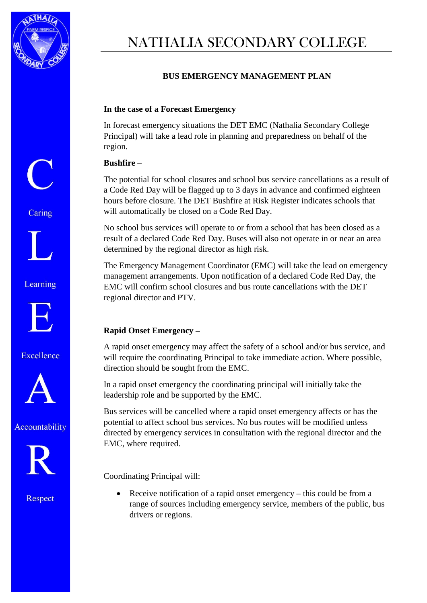

# NATHALIA SECONDARY COLLEGE

## **BUS EMERGENCY MANAGEMENT PLAN**

#### **In the case of a Forecast Emergency**

In forecast emergency situations the DET EMC (Nathalia Secondary College Principal) will take a lead role in planning and preparedness on behalf of the region.

#### **Bushfire** –

The potential for school closures and school bus service cancellations as a result of a Code Red Day will be flagged up to 3 days in advance and confirmed eighteen hours before closure. The DET Bushfire at Risk Register indicates schools that will automatically be closed on a Code Red Day.

No school bus services will operate to or from a school that has been closed as a result of a declared Code Red Day. Buses will also not operate in or near an area determined by the regional director as high risk.

The Emergency Management Coordinator (EMC) will take the lead on emergency management arrangements. Upon notification of a declared Code Red Day, the EMC will confirm school closures and bus route cancellations with the DET regional director and PTV.

### **Rapid Onset Emergency –**

A rapid onset emergency may affect the safety of a school and/or bus service, and will require the coordinating Principal to take immediate action. Where possible, direction should be sought from the EMC.

In a rapid onset emergency the coordinating principal will initially take the leadership role and be supported by the EMC.

Bus services will be cancelled where a rapid onset emergency affects or has the potential to affect school bus services. No bus routes will be modified unless directed by emergency services in consultation with the regional director and the EMC, where required.

Coordinating Principal will:

• Receive notification of a rapid onset emergency – this could be from a range of sources including emergency service, members of the public, bus drivers or regions.

Caring



Learning



Excellence







Respect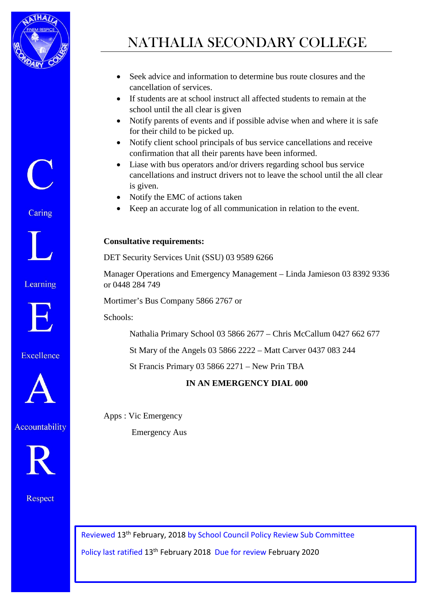

NATHALIA SECONDARY COLLEGE

- Seek advice and information to determine bus route closures and the cancellation of services.
- If students are at school instruct all affected students to remain at the school until the all clear is given
- Notify parents of events and if possible advise when and where it is safe for their child to be picked up.
- Notify client school principals of bus service cancellations and receive confirmation that all their parents have been informed.
- Liase with bus operators and/or drivers regarding school bus service cancellations and instruct drivers not to leave the school until the all clear is given.
- Notify the EMC of actions taken
- Keep an accurate log of all communication in relation to the event.

### **Consultative requirements:**

DET Security Services Unit (SSU) 03 9589 6266

Manager Operations and Emergency Management – Linda Jamieson 03 8392 9336 or 0448 284 749

Mortimer's Bus Company 5866 2767 or

Schools:

Nathalia Primary School 03 5866 2677 – Chris McCallum 0427 662 677

St Mary of the Angels 03 5866 2222 – Matt Carver 0437 083 244

St Francis Primary 03 5866 2271 – New Prin TBA

## **IN AN EMERGENCY DIAL 000**

Apps : Vic Emergency

Emergency Aus

Reviewed 13th February, 2018 by School Council Policy Review Sub Committee Policy last ratified 13th February 2018 Due for review February 2020

Caring

 $\begin{pmatrix} 1 \\ 1 \end{pmatrix}$ 



Learning



Excellence



Accountability



Respect